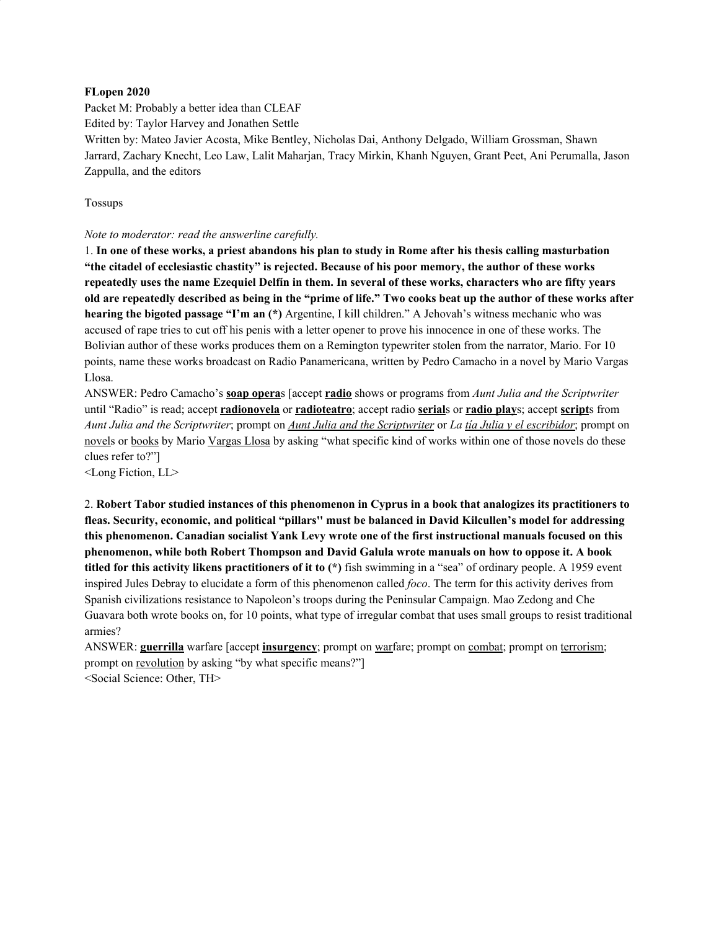#### **FLopen 2020**

Packet M: Probably a better idea than CLEAF

Edited by: Taylor Harvey and Jonathen Settle

Written by: Mateo Javier Acosta, Mike Bentley, Nicholas Dai, Anthony Delgado, William Grossman, Shawn Jarrard, Zachary Knecht, Leo Law, Lalit Maharjan, Tracy Mirkin, Khanh Nguyen, Grant Peet, Ani Perumalla, Jason Zappulla, and the editors

Tossups

#### *Note to moderator: read the answerline carefully.*

1. In one of these works, a priest abandons his plan to study in Rome after his thesis calling masturbation **"the citadel of ecclesiastic chastity" is rejected. Because of his poor memory, the author of these works** repeatedly uses the name Ezequiel Delfín in them. In several of these works, characters who are fifty years old are repeatedly described as being in the "prime of life." Two cooks beat up the author of these works after **hearing the bigoted passage "I'm an (\*)** Argentine, I kill children." A Jehovah's witness mechanic who was accused of rape tries to cut off his penis with a letter opener to prove his innocence in one of these works. The Bolivian author of these works produces them on a Remington typewriter stolen from the narrator, Mario. For 10 points, name these works broadcast on Radio Panamericana, written by Pedro Camacho in a novel by Mario Vargas Llosa.

ANSWER: Pedro Camacho's **soap opera**s [accept **radio** shows or programs from *Aunt Julia and the Scriptwriter* until "Radio" is read; accept **radionovela** or **radioteatro**; accept radio **serial**s or **radio play**s; accept **script**s from Aunt Julia and the Scriptwriter; prompt on Aunt Julia and the Scriptwriter or La tia Julia y el escribidor; prompt on novels or books by Mario Vargas Llosa by asking "what specific kind of works within one of those novels do these clues refer to?"]

<Long Fiction, LL>

2. Robert Tabor studied instances of this phenomenon in Cyprus in a book that analogizes its practitioners to **fleas. Security, economic, and political "pillars'' must be balanced in David Kilcullen's model for addressing this phenomenon. Canadian socialist Yank Levy wrote one of the first instructional manuals focused on this phenomenon, while both Robert Thompson and David Galula wrote manuals on how to oppose it. A book titled for this activity likens practitioners of it to (\*)** fish swimming in a "sea" of ordinary people. A 1959 event inspired Jules Debray to elucidate a form of this phenomenon called *foco*. The term for this activity derives from Spanish civilizations resistance to Napoleon's troops during the Peninsular Campaign. Mao Zedong and Che Guavara both wrote books on, for 10 points, what type of irregular combat that uses small groups to resist traditional armies?

ANSWER: **guerrilla** warfare [accept **insurgency**; prompt on warfare; prompt on combat; prompt on terrorism; prompt on revolution by asking "by what specific means?"]

<Social Science: Other, TH>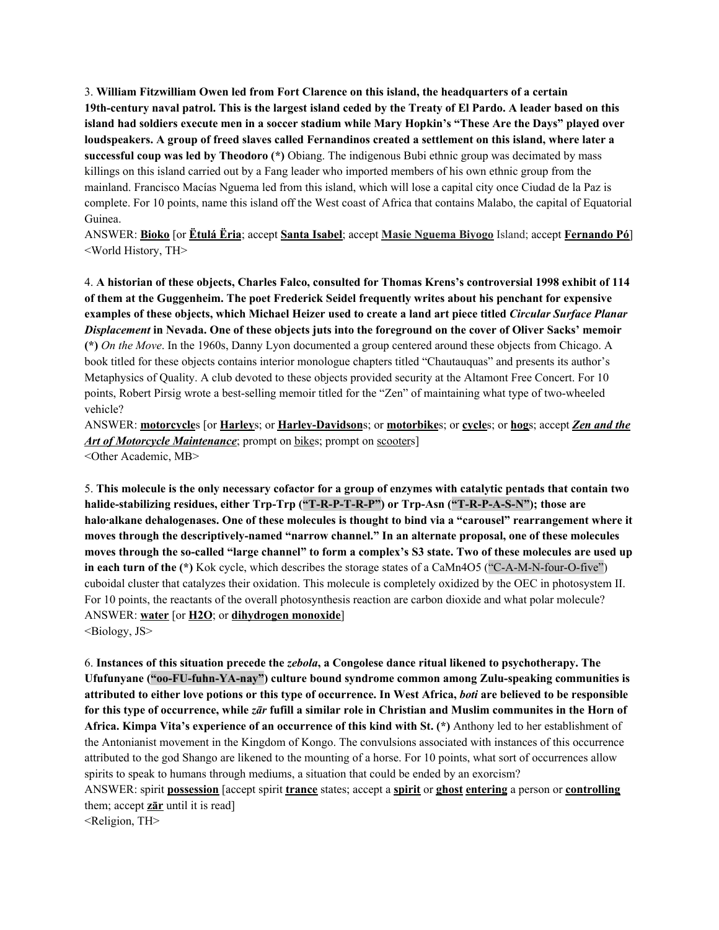3. **William Fitzwilliam Owen led from Fort Clarence on this island, the headquarters of a certain** 19th-century naval patrol. This is the largest island ceded by the Treaty of El Pardo. A leader based on this island had soldiers execute men in a soccer stadium while Mary Hopkin's "These Are the Days" played over loudspeakers. A group of freed slaves called Fernandinos created a settlement on this island, where later a **successful coup was led by Theodoro (\*)** Obiang. The indigenous Bubi ethnic group was decimated by mass killings on this island carried out by a Fang leader who imported members of his own ethnic group from the mainland. Francisco Macías Nguema led from this island, which will lose a capital city once Ciudad de la Paz is complete. For 10 points, name this island off the West coast of Africa that contains Malabo, the capital of Equatorial Guinea.

ANSWER: **Bioko** [or **Ëtulá Ëria**; accept **Santa Isabel**; accept **Masie Nguema Biyogo** Island; accept **Fernando Pó**] <World History, TH>

4. **A historian of these objects, Charles Falco, consulted for Thomas Krens's controversial 1998 exhibit of 114 of them at the Guggenheim. The poet Frederick Seidel frequently writes about his penchant for expensive** examples of these objects, which Michael Heizer used to create a land art piece titled *Circular Surface Planar* Displacement in Nevada. One of these objects juts into the foreground on the cover of Oliver Sacks' memoir **(\*)** *On the Move*. In the 1960s, Danny Lyon documented a group centered around these objects from Chicago. A book titled for these objects contains interior monologue chapters titled "Chautauquas" and presents its author's Metaphysics of Quality. A club devoted to these objects provided security at the Altamont Free Concert. For 10 points, Robert Pirsig wrote a best-selling memoir titled for the "Zen" of maintaining what type of two-wheeled vehicle?

ANSWER: **motorcycle**s [or **Harley**s; or **Harley-Davidson**s; or **motorbike**s; or **cycle**s; or **hog**s; accept *Zen and the Art of Motorcycle Maintenance*; prompt on bikes; prompt on scooters] <Other Academic, MB>

5. This molecule is the only necessary cofactor for a group of enzymes with catalytic pentads that contain two **halide-stabilizing residues, either Trp-Trp ("T-R-P-T-R-P") or Trp-Asn ("T-R-P-A-S-N"); those are halo·alkane dehalogenases. One of these molecules is thought to bind via a "carousel" rearrangement where it moves through the descriptively-named "narrow channel." In an alternate proposal, one of these molecules** moves through the so-called "large channel" to form a complex's S3 state. Two of these molecules are used up **in each turn of the (\*)** Kok cycle, which describes the storage states of a CaMn4O5 ("C-A-M-N-four-O-five") cuboidal cluster that catalyzes their oxidation. This molecule is completely oxidized by the OEC in photosystem II. For 10 points, the reactants of the overall photosynthesis reaction are carbon dioxide and what polar molecule? ANSWER: **water** [or **H2O**; or **dihydrogen monoxide**]

<Biology, JS>

6. **Instances of this situation precede the** *zebola***, a Congolese dance ritual likened to psychotherapy. The Ufufunyane ("oo-FU-fuhn-YA-nay") culture bound syndrome common among Zulu-speaking communities is** attributed to either love potions or this type of occurrence. In West Africa, *boti* are believed to be responsible for this type of occurrence, while zar fufill a similar role in Christian and Muslim communites in the Horn of **Africa. Kimpa Vita's experience of an occurrence of this kind with St. (\*)** Anthony led to her establishment of the Antonianist movement in the Kingdom of Kongo. The convulsions associated with instances of this occurrence attributed to the god Shango are likened to the mounting of a horse. For 10 points, what sort of occurrences allow spirits to speak to humans through mediums, a situation that could be ended by an exorcism?

ANSWER: spirit **possession** [accept spirit **trance** states; accept a **spirit** or **ghost entering** a person or **controlling** them; accept **zār** until it is read]

<Religion, TH>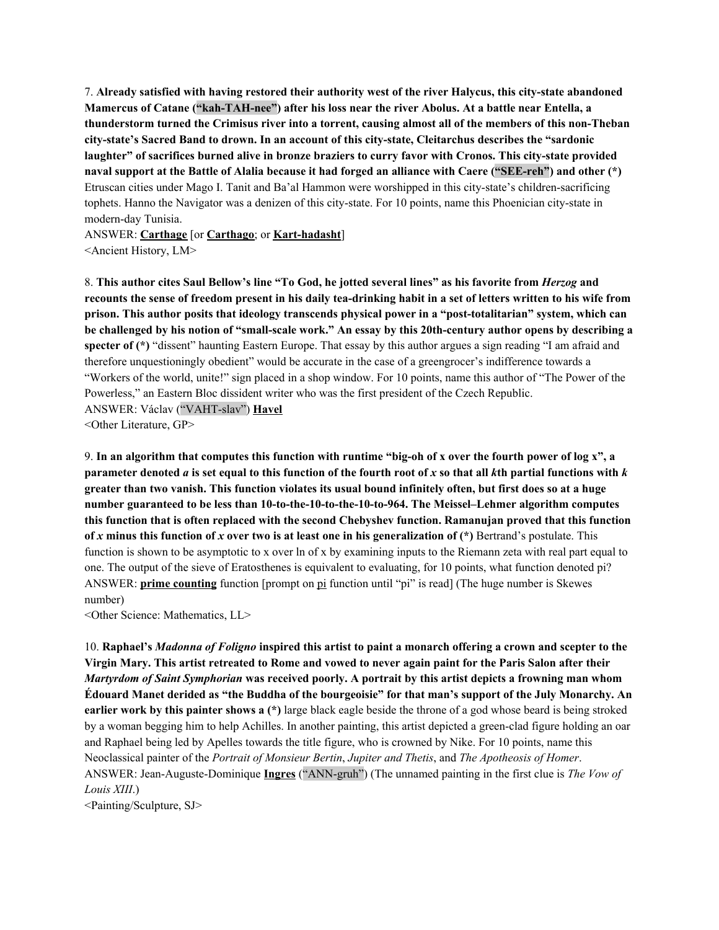7. **Already satisfied with having restored their authority west of the river Halycus, this city-state abandoned Mamercus of Catane ("kah-TAH-nee") after his loss near the river Abolus. At a battle near Entella, a** thunderstorm turned the Crimisus river into a torrent, causing almost all of the members of this non-Theban **city-state's Sacred Band to drown. In an account of this city-state, Cleitarchus describes the "sardonic laughter" of sacrifices burned alive in bronze braziers to curry favor with Cronos. This city-state provided** naval support at the Battle of Alalia because it had forged an alliance with Caere ("SEE-reh") and other (\*) Etruscan cities under Mago I. Tanit and Ba'al Hammon were worshipped in this city-state's children-sacrificing tophets. Hanno the Navigator was a denizen of this city-state. For 10 points, name this Phoenician city-state in modern-day Tunisia.

ANSWER: **Carthage** [or **Carthago**; or **Kart-hadasht**] <Ancient History, LM>

8. This author cites Saul Bellow's line "To God, he jotted several lines" as his favorite from *Herzog* and recounts the sense of freedom present in his daily tea-drinking habit in a set of letters written to his wife from **prison. This author posits that ideology transcends physical power in a "post-totalitarian" system, which can** be challenged by his notion of "small-scale work." An essay by this 20th-century author opens by describing a **specter of (\*)** "dissent" haunting Eastern Europe. That essay by this author argues a sign reading "I am afraid and therefore unquestioningly obedient" would be accurate in the case of a greengrocer's indifference towards a "Workers of the world, unite!" sign placed in a shop window. For 10 points, name this author of "The Power of the Powerless," an Eastern Bloc dissident writer who was the first president of the Czech Republic. ANSWER: Václav ("VAHT-slav") **Havel**

<Other Literature, GP>

9. In an algorithm that computes this function with runtime "big-oh of x over the fourth power of log x", a parameter denoted a is set equal to this function of the fourth root of x so that all  $k$ th partial functions with  $k$ greater than two vanish. This function violates its usual bound infinitely often, but first does so at a huge **number guaranteed to be less than 10-to-the-10-to-the-10-to-964. The Meissel–Lehmer algorithm computes this function that is often replaced with the second Chebyshev function. Ramanujan proved that this function** of x minus this function of x over two is at least one in his generalization of  $(*)$  Bertrand's postulate. This function is shown to be asymptotic to x over ln of x by examining inputs to the Riemann zeta with real part equal to one. The output of the sieve of Eratosthenes is equivalent to evaluating, for 10 points, what function denoted pi? ANSWER: **prime counting** function [prompt on pi function until "pi" is read] (The huge number is Skewes number)

<Other Science: Mathematics, LL>

10. Raphael's Madonna of Foligno inspired this artist to paint a monarch offering a crown and scepter to the Virgin Mary. This artist retreated to Rome and vowed to never again paint for the Paris Salon after their *Martyrdom of Saint Symphorian* **was received poorly. A portrait by this artist depicts a frowning man whom** Edouard Manet derided as "the Buddha of the bourgeoisie" for that man's support of the July Monarchy. An **earlier work by this painter shows a (\*)** large black eagle beside the throne of a god whose beard is being stroked by a woman begging him to help Achilles. In another painting, this artist depicted a green-clad figure holding an oar and Raphael being led by Apelles towards the title figure, who is crowned by Nike. For 10 points, name this Neoclassical painter of the *Portrait of Monsieur Bertin*, *Jupiter and Thetis*, and *The Apotheosis of Homer*. ANSWER: Jean-Auguste-Dominique **Ingres** ("ANN-gruh") (The unnamed painting in the first clue is *The Vow of Louis XIII*.)

<Painting/Sculpture, SJ>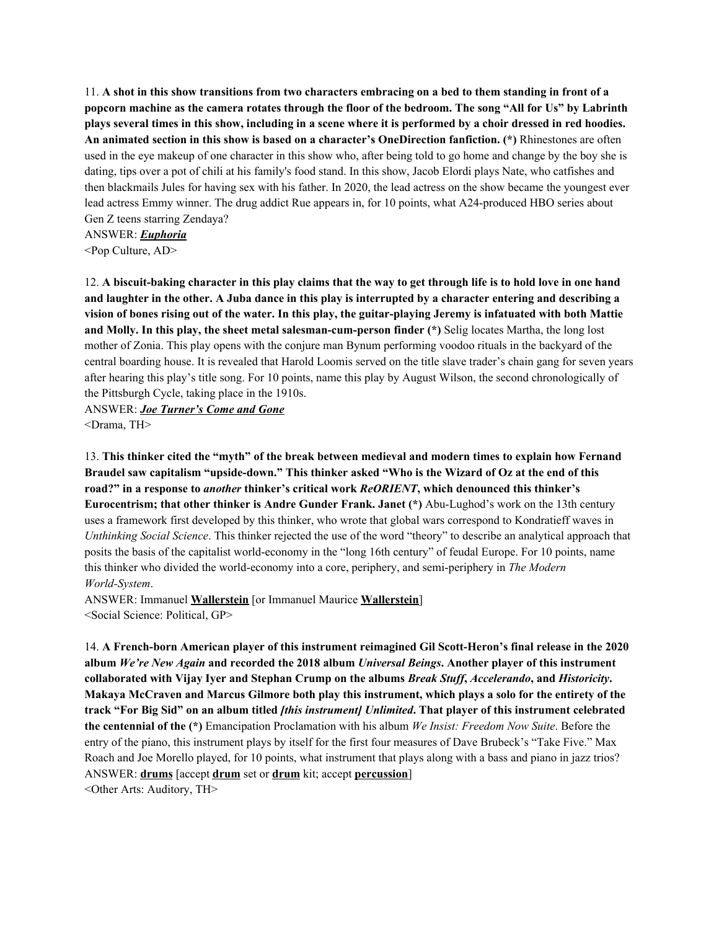11. A shot in this show transitions from two characters embracing on a bed to them standing in front of a popcorn machine as the camera rotates through the floor of the bedroom. The song "All for Us" by Labrinth plays several times in this show, including in a scene where it is performed by a choir dressed in red hoodies. **An animated section in this show is based on a character's OneDirection fanfiction. (\*)** Rhinestones are often used in the eye makeup of one character in this show who, after being told to go home and change by the boy she is dating, tips over a pot of chili at his family's food stand. In this show, Jacob Elordi plays Nate, who catfishes and then blackmails Jules for having sex with his father. In 2020, the lead actress on the show became the youngest ever lead actress Emmy winner. The drug addict Rue appears in, for 10 points, what A24-produced HBO series about Gen Z teens starring Zendaya?

ANSWER: *Euphoria*

<Pop Culture, AD>

12. A biscuit-baking character in this play claims that the way to get through life is to hold love in one hand and laughter in the other. A Juba dance in this play is interrupted by a character entering and describing a vision of bones rising out of the water. In this play, the guitar-playing Jeremy is infatuated with both Mattie **and Molly. In this play, the sheet metal salesman-cum-person finder (\*)** Selig locates Martha, the long lost mother of Zonia. This play opens with the conjure man Bynum performing voodoo rituals in the backyard of the central boarding house. It is revealed that Harold Loomis served on the title slave trader's chain gang for seven years after hearing this play's title song. For 10 points, name this play by August Wilson, the second chronologically of the Pittsburgh Cycle, taking place in the 1910s.

ANSWER: *Joe Turner's Come and Gone* <Drama, TH>

13. **This thinker cited the "myth" of the break between medieval and modern times to explain how Fernand** Braudel saw capitalism "upside-down." This thinker asked "Who is the Wizard of Oz at the end of this **road?" in a response to** *another* **thinker's critical work** *ReORIENT***, which denounced this thinker's Eurocentrism; that other thinker is Andre Gunder Frank. Janet (\*)** Abu-Lughod's work on the 13th century uses a framework first developed by this thinker, who wrote that global wars correspond to Kondratieff waves in *Unthinking Social Science*. This thinker rejected the use of the word "theory" to describe an analytical approach that posits the basis of the capitalist world-economy in the "long 16th century" of feudal Europe. For 10 points, name this thinker who divided the world-economy into a core, periphery, and semi-periphery in *The Modern World-System*.

ANSWER: Immanuel **Wallerstein** [or Immanuel Maurice **Wallerstein**] <Social Science: Political, GP>

14. **A French-born American player of this instrument reimagined Gil Scott-Heron's final release in the 2020 album** *We're New Again* **and recorded the 2018 album** *Universal Beings***. Another player of this instrument** collaborated with Vijay Iyer and Stephan Crump on the albums Break Stuff, Accelerando, and Historicity. Makaya McCraven and Marcus Gilmore both play this instrument, which plays a solo for the entirety of the track "For Big Sid" on an album titled [this instrument] Unlimited. That player of this instrument celebrated **the centennial of the (\*)** Emancipation Proclamation with his album *We Insist: Freedom Now Suite*. Before the entry of the piano, this instrument plays by itself for the first four measures of Dave Brubeck's "Take Five." Max Roach and Joe Morello played, for 10 points, what instrument that plays along with a bass and piano in jazz trios? ANSWER: **drums** [accept **drum** set or **drum** kit; accept **percussion**] <Other Arts: Auditory, TH>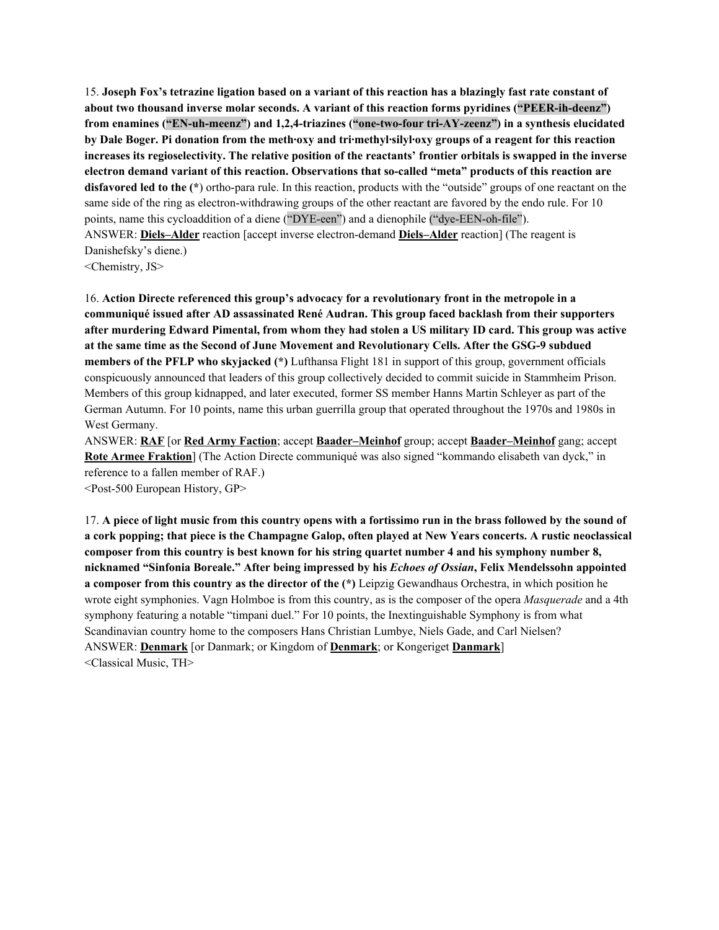15. Joseph Fox's tetrazine ligation based on a variant of this reaction has a blazingly fast rate constant of **about two thousand inverse molar seconds. A variant of this reaction forms pyridines ("PEER-ih-deenz") from enamines ("EN-uh-meenz") and 1,2,4-triazines ("one-two-four tri-AY-zeenz") in a synthesis elucidated** by Dale Boger. Pi donation from the meth oxy and tri-methyl-silyl-oxy groups of a reagent for this reaction increases its regioselectivity. The relative position of the reactants' frontier orbitals is swapped in the inverse **electron demand variant of this reaction. Observations that so-called "meta" products of this reaction are disfavored led to the (\***) ortho-para rule. In this reaction, products with the "outside" groups of one reactant on the same side of the ring as electron-withdrawing groups of the other reactant are favored by the endo rule. For 10 points, name this cycloaddition of a diene ("DYE-een") and a dienophile ("dye-EEN-oh-file"). ANSWER: **Diels–Alder** reaction [accept inverse electron-demand **Diels–Alder** reaction] (The reagent is Danishefsky's diene.) <Chemistry, JS>

16. **Action Directe referenced this group's advocacy for a revolutionary front in the metropole in a communiqué issued after AD assassinated René Audran. This group faced backlash from their supporters** after murdering Edward Pimental, from whom they had stolen a US military ID card. This group was active **at the same time as the Second of June Movement and Revolutionary Cells. After the GSG-9 subdued members of the PFLP who skyjacked (\*)** Lufthansa Flight 181 in support of this group, government officials conspicuously announced that leaders of this group collectively decided to commit suicide in Stammheim Prison. Members of this group kidnapped, and later executed, former SS member Hanns Martin Schleyer as part of the German Autumn. For 10 points, name this urban guerrilla group that operated throughout the 1970s and 1980s in West Germany.

ANSWER: **RAF** [or **Red Army Faction**; accept **Baader–Meinhof** group; accept **Baader–Meinhof** gang; accept **Rote Armee Fraktion**] (The Action Directe communiqué was also signed "kommando elisabeth van dyck," in reference to a fallen member of RAF.) <Post-500 European History, GP>

17. A piece of light music from this country opens with a fortissimo run in the brass followed by the sound of a cork popping; that piece is the Champagne Galop, often played at New Years concerts. A rustic neoclassical composer from this country is best known for his string quartet number 4 and his symphony number 8, **nicknamed "Sinfonia Boreale." After being impressed by his** *Echoes of Ossian***, Felix Mendelssohn appointed a composer from this country as the director of the (\*)** Leipzig Gewandhaus Orchestra, in which position he wrote eight symphonies. Vagn Holmboe is from this country, as is the composer of the opera *Masquerade* and a 4th symphony featuring a notable "timpani duel." For 10 points, the Inextinguishable Symphony is from what Scandinavian country home to the composers Hans Christian Lumbye, Niels Gade, and Carl Nielsen? ANSWER: **Denmark** [or Danmark; or Kingdom of **Denmark**; or Kongeriget **Danmark**] <Classical Music, TH>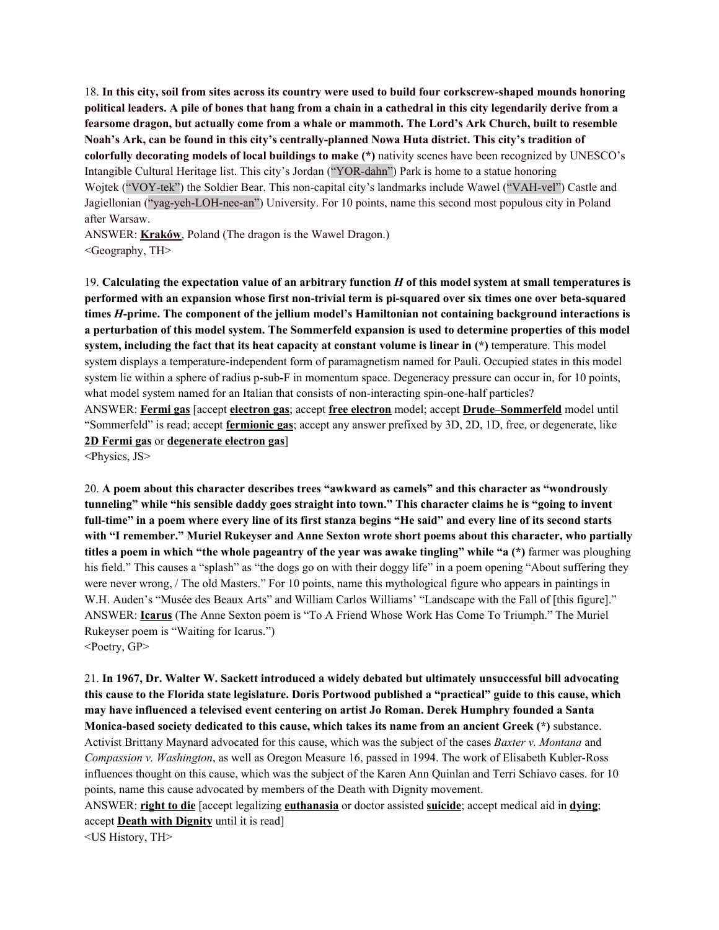18. In this city, soil from sites across its country were used to build four corkscrew-shaped mounds honoring political leaders. A pile of bones that hang from a chain in a cathedral in this city legendarily derive from a **fearsome dragon, but actually come from a whale or mammoth. The Lord's Ark Church, built to resemble Noah's Ark, can be found in this city's centrally-planned Nowa Huta district. This city's tradition of colorfully decorating models of local buildings to make (\*)** nativity scenes have been recognized by UNESCO's Intangible Cultural Heritage list. This city's Jordan ("YOR-dahn") Park is home to a statue honoring Wojtek ("VOY-tek") the Soldier Bear. This non-capital city's landmarks include Wawel ("VAH-vel") Castle and Jagiellonian ("yag-yeh-LOH-nee-an") University. For 10 points, name this second most populous city in Poland after Warsaw.

ANSWER: **Kraków**, Poland (The dragon is the Wawel Dragon.) <Geography, TH>

19. Calculating the expectation value of an arbitrary function H of this model system at small temperatures is **performed with an expansion whose first non-trivial term is pi-squared over six times one over beta-squared times** *H***-prime. The component of the jellium model's Hamiltonian not containing background interactions is** a perturbation of this model system. The Sommerfeld expansion is used to determine properties of this model **system, including the fact that its heat capacity at constant volume is linear in (\*)** temperature. This model system displays a temperature-independent form of paramagnetism named for Pauli. Occupied states in this model system lie within a sphere of radius p-sub-F in momentum space. Degeneracy pressure can occur in, for 10 points, what model system named for an Italian that consists of non-interacting spin-one-half particles? ANSWER: **Fermi gas** [accept **electron gas**; accept **free electron** model; accept **Drude–Sommerfeld** model until "Sommerfeld" is read; accept **fermionic gas**; accept any answer prefixed by 3D, 2D, 1D, free, or degenerate, like **2D Fermi gas** or **degenerate electron gas**]

<Physics, JS>

20. **A poem about this character describes trees "awkward as camels" and this character as "wondrously** tunneling" while "his sensible daddy goes straight into town." This character claims he is "going to invent full-time" in a poem where every line of its first stanza begins "He said" and every line of its second starts **with "I remember." Muriel Rukeyser and Anne Sexton wrote short poems about this character, who partially** titles a poem in which "the whole pageantry of the year was awake tingling" while "a (\*) farmer was ploughing his field." This causes a "splash" as "the dogs go on with their doggy life" in a poem opening "About suffering they were never wrong, / The old Masters." For 10 points, name this mythological figure who appears in paintings in W.H. Auden's "Musée des Beaux Arts" and William Carlos Williams' "Landscape with the Fall of [this figure]." ANSWER: **Icarus** (The Anne Sexton poem is "To A Friend Whose Work Has Come To Triumph." The Muriel Rukeyser poem is "Waiting for Icarus.")  $\leq$ Poetry, GP $>$ 

21. **In 1967, Dr. Walter W. Sackett introduced a widely debated but ultimately unsuccessful bill advocating** this cause to the Florida state legislature. Doris Portwood published a "practical" guide to this cause, which **may have influenced a televised event centering on artist Jo Roman. Derek Humphry founded a Santa Monica-based society dedicated to this cause, which takes its name from an ancient Greek (\*)** substance. Activist Brittany Maynard advocated for this cause, which was the subject of the cases *Baxter v. Montana* and *Compassion v. Washington*, as well as Oregon Measure 16, passed in 1994. The work of Elisabeth Kubler-Ross influences thought on this cause, which was the subject of the Karen Ann Quinlan and Terri Schiavo cases. for 10 points, name this cause advocated by members of the Death with Dignity movement.

ANSWER: **right to die** [accept legalizing **euthanasia** or doctor assisted **suicide**; accept medical aid in **dying**; accept **Death with Dignity** until it is read]

<US History, TH>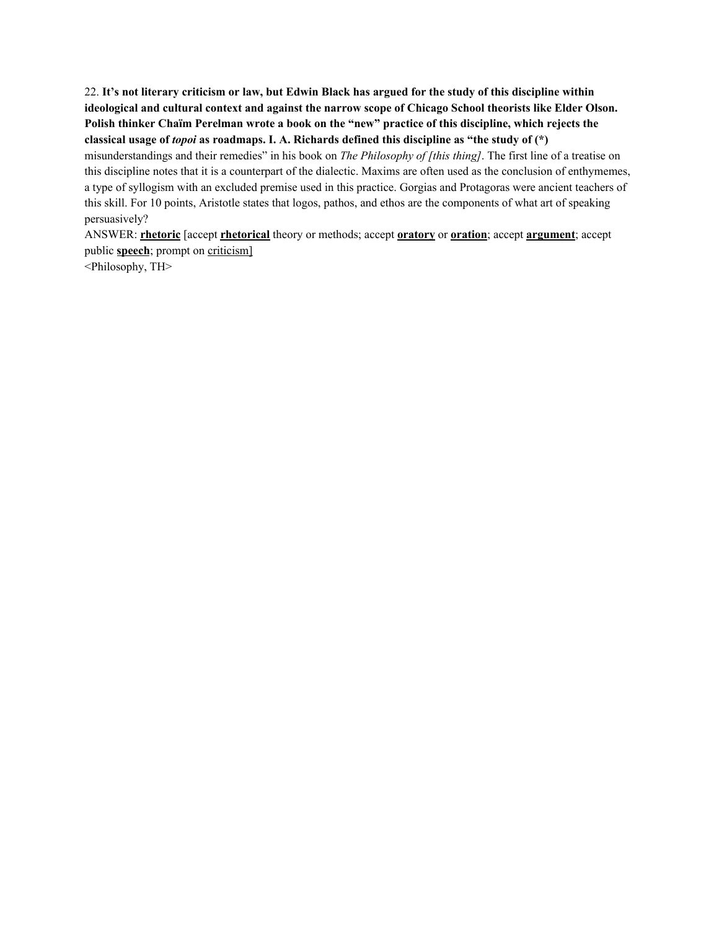22. It's not literary criticism or law, but Edwin Black has argued for the study of this discipline within **ideological and cultural context and against the narrow scope of Chicago School theorists like Elder Olson. Polish thinker Chaïm Perelman wrote a book on the "new" practice of this discipline, which rejects the classical usage of** *topoi* **as roadmaps. I. A. Richards defined this discipline as "the study of (\*)** misunderstandings and their remedies" in his book on *The Philosophy of [this thing]*. The first line of a treatise on this discipline notes that it is a counterpart of the dialectic. Maxims are often used as the conclusion of enthymemes, a type of syllogism with an excluded premise used in this practice. Gorgias and Protagoras were ancient teachers of this skill. For 10 points, Aristotle states that logos, pathos, and ethos are the components of what art of speaking persuasively?

ANSWER: **rhetoric** [accept **rhetorical** theory or methods; accept **oratory** or **oration**; accept **argument**; accept public **speech**; prompt on criticism]

<Philosophy, TH>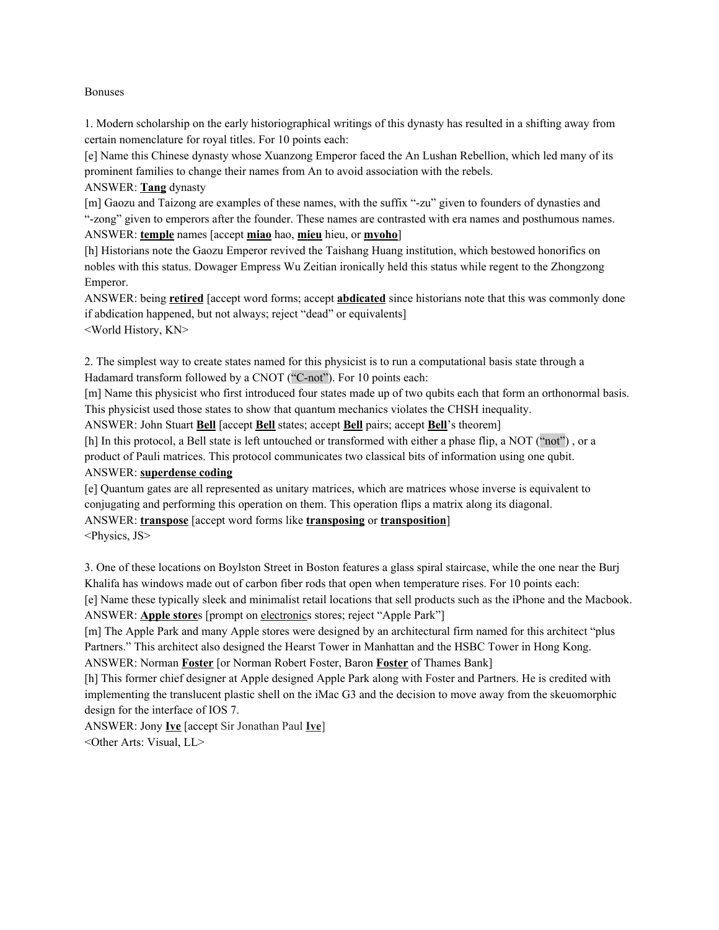#### Bonuses

1. Modern scholarship on the early historiographical writings of this dynasty has resulted in a shifting away from certain nomenclature for royal titles. For 10 points each:

[e] Name this Chinese dynasty whose Xuanzong Emperor faced the An Lushan Rebellion, which led many of its prominent families to change their names from An to avoid association with the rebels.

ANSWER: **Tang** dynasty

[m] Gaozu and Taizong are examples of these names, with the suffix "-zu" given to founders of dynasties and "-zong" given to emperors after the founder. These names are contrasted with era names and posthumous names. ANSWER: **temple** names [accept **miao** hao, **mieu** hieu, or **myoho**]

[h] Historians note the Gaozu Emperor revived the Taishang Huang institution, which bestowed honorifics on nobles with this status. Dowager Empress Wu Zeitian ironically held this status while regent to the Zhongzong Emperor.

ANSWER: being **retired** [accept word forms; accept **abdicated** since historians note that this was commonly done if abdication happened, but not always; reject "dead" or equivalents] <World History, KN>

2. The simplest way to create states named for this physicist is to run a computational basis state through a Hadamard transform followed by a CNOT ("C-not"). For 10 points each:

[m] Name this physicist who first introduced four states made up of two qubits each that form an orthonormal basis. This physicist used those states to show that quantum mechanics violates the CHSH inequality.

ANSWER: John Stuart **Bell** [accept **Bell** states; accept **Bell** pairs; accept **Bell**'s theorem]

[h] In this protocol, a Bell state is left untouched or transformed with either a phase flip, a NOT ("not") , or a product of Pauli matrices. This protocol communicates two classical bits of information using one qubit. ANSWER: **superdense coding**

# [e] Quantum gates are all represented as unitary matrices, which are matrices whose inverse is equivalent to conjugating and performing this operation on them. This operation flips a matrix along its diagonal.

ANSWER: **transpose** [accept word forms like **transposing** or **transposition**]

<Physics, JS>

3. One of these locations on Boylston Street in Boston features a glass spiral staircase, while the one near the Burj Khalifa has windows made out of carbon fiber rods that open when temperature rises. For 10 points each: [e] Name these typically sleek and minimalist retail locations that sell products such as the iPhone and the Macbook. ANSWER: **Apple store**s [prompt on electronics stores; reject "Apple Park"]

[m] The Apple Park and many Apple stores were designed by an architectural firm named for this architect "plus Partners." This architect also designed the Hearst Tower in Manhattan and the HSBC Tower in Hong Kong. ANSWER: Norman **Foster** [or Norman Robert Foster, Baron **Foster** of Thames Bank]

[h] This former chief designer at Apple designed Apple Park along with Foster and Partners. He is credited with implementing the translucent plastic shell on the iMac G3 and the decision to move away from the skeuomorphic design for the interface of IOS 7.

ANSWER: Jony **Ive** [accept Sir Jonathan Paul **Ive**] <Other Arts: Visual, LL>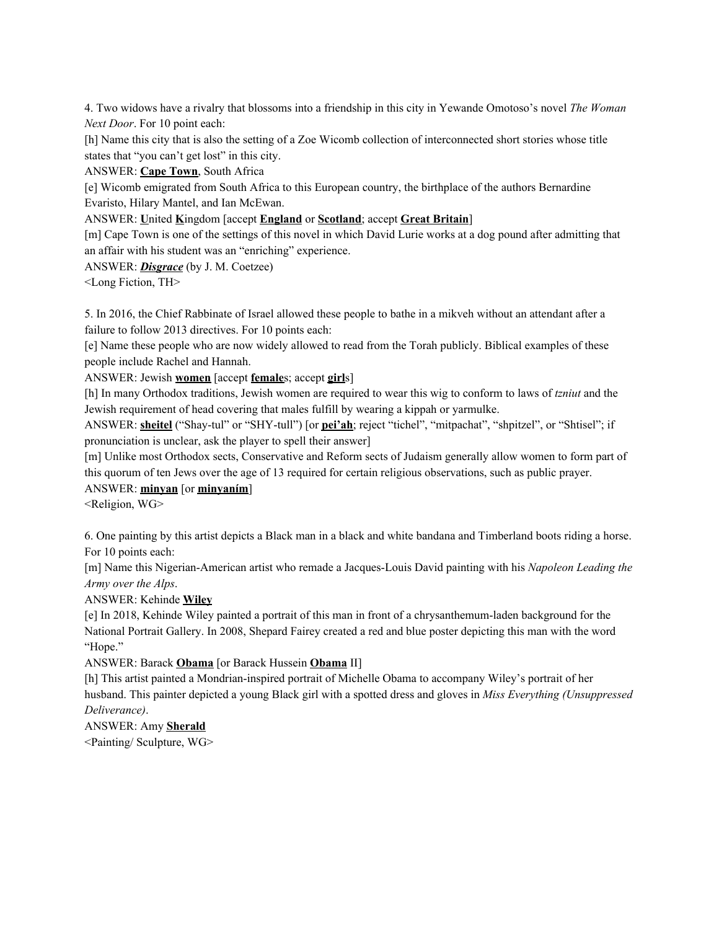4. Two widows have a rivalry that blossoms into a friendship in this city in Yewande Omotoso's novel *The Woman Next Door*. For 10 point each:

[h] Name this city that is also the setting of a Zoe Wicomb collection of interconnected short stories whose title states that "you can't get lost" in this city.

ANSWER: **Cape Town**, South Africa

[e] Wicomb emigrated from South Africa to this European country, the birthplace of the authors Bernardine Evaristo, Hilary Mantel, and Ian McEwan.

ANSWER: **U**nited **K**ingdom [accept **England** or **Scotland**; accept **Great Britain**]

[m] Cape Town is one of the settings of this novel in which David Lurie works at a dog pound after admitting that an affair with his student was an "enriching" experience.

ANSWER: *Disgrace* (by J. M. Coetzee)

<Long Fiction, TH>

5. In 2016, the Chief Rabbinate of Israel allowed these people to bathe in a mikveh without an attendant after a failure to follow 2013 directives. For 10 points each:

[e] Name these people who are now widely allowed to read from the Torah publicly. Biblical examples of these people include Rachel and Hannah.

ANSWER: Jewish **women** [accept **female**s; accept **girl**s]

[h] In many Orthodox traditions, Jewish women are required to wear this wig to conform to laws of *tzniut* and the Jewish requirement of head covering that males fulfill by wearing a kippah or yarmulke.

ANSWER: **sheitel** ("Shay-tul" or "SHY-tull") [or **pei'ah**; reject "tichel", "mitpachat", "shpitzel", or "Shtisel"; if pronunciation is unclear, ask the player to spell their answer]

[m] Unlike most Orthodox sects, Conservative and Reform sects of Judaism generally allow women to form part of this quorum of ten Jews over the age of 13 required for certain religious observations, such as public prayer.

#### ANSWER: **minyan** [or **minyaním**]

<Religion, WG>

6. One painting by this artist depicts a Black man in a black and white bandana and Timberland boots riding a horse. For 10 points each:

[m] Name this Nigerian-American artist who remade a Jacques-Louis David painting with his *Napoleon Leading the Army over the Alps*.

ANSWER: Kehinde **Wiley**

[e] In 2018, Kehinde Wiley painted a portrait of this man in front of a chrysanthemum-laden background for the National Portrait Gallery. In 2008, Shepard Fairey created a red and blue poster depicting this man with the word "Hope."

# ANSWER: Barack **Obama** [or Barack Hussein **Obama** II]

[h] This artist painted a Mondrian-inspired portrait of Michelle Obama to accompany Wiley's portrait of her husband. This painter depicted a young Black girl with a spotted dress and gloves in *Miss Everything (Unsuppressed Deliverance)*.

# ANSWER: Amy **Sherald**

<Painting/ Sculpture, WG>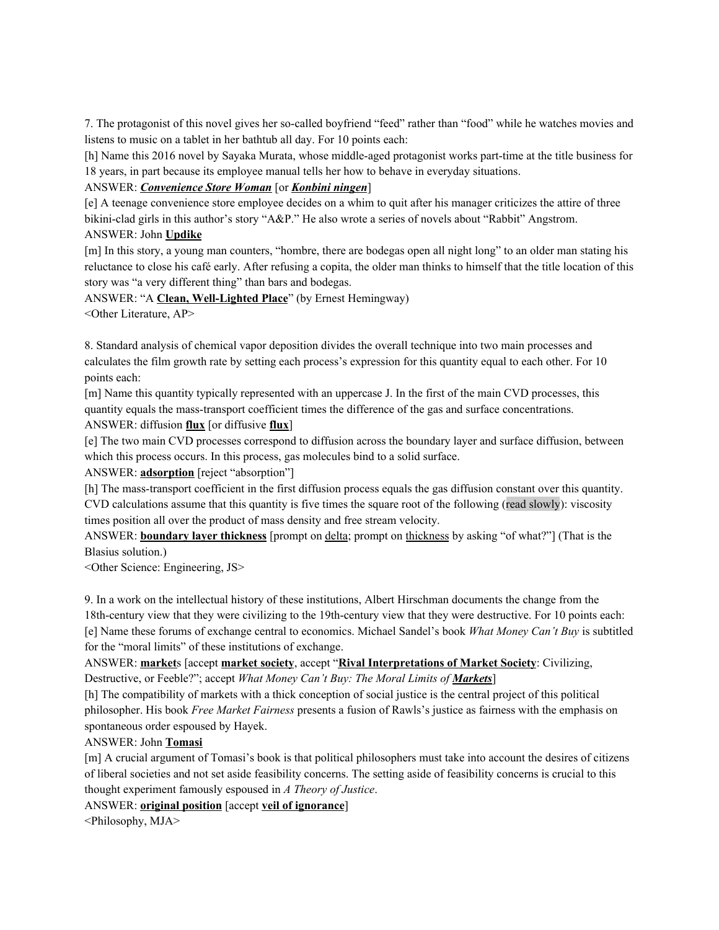7. The protagonist of this novel gives her so-called boyfriend "feed" rather than "food" while he watches movies and listens to music on a tablet in her bathtub all day. For 10 points each:

[h] Name this 2016 novel by Sayaka Murata, whose middle-aged protagonist works part-time at the title business for 18 years, in part because its employee manual tells her how to behave in everyday situations.

# ANSWER: *Convenience Store Woman* [or *Konbini ningen*]

[e] A teenage convenience store employee decides on a whim to quit after his manager criticizes the attire of three bikini-clad girls in this author's story "A&P." He also wrote a series of novels about "Rabbit" Angstrom.

## ANSWER: John **Updike**

[m] In this story, a young man counters, "hombre, there are bodegas open all night long" to an older man stating his reluctance to close his café early. After refusing a copita, the older man thinks to himself that the title location of this story was "a very different thing" than bars and bodegas.

ANSWER: "A **Clean, Well-Lighted Place**" (by Ernest Hemingway) <Other Literature, AP>

8. Standard analysis of chemical vapor deposition divides the overall technique into two main processes and calculates the film growth rate by setting each process's expression for this quantity equal to each other. For 10 points each:

[m] Name this quantity typically represented with an uppercase J. In the first of the main CVD processes, this quantity equals the mass-transport coefficient times the difference of the gas and surface concentrations. ANSWER: diffusion **flux** [or diffusive **flux**]

[e] The two main CVD processes correspond to diffusion across the boundary layer and surface diffusion, between which this process occurs. In this process, gas molecules bind to a solid surface.

ANSWER: **adsorption** [reject "absorption"]

[h] The mass-transport coefficient in the first diffusion process equals the gas diffusion constant over this quantity. CVD calculations assume that this quantity is five times the square root of the following (read slowly): viscosity times position all over the product of mass density and free stream velocity.

ANSWER: **boundary layer thickness** [prompt on delta; prompt on thickness by asking "of what?"] (That is the Blasius solution.)

<Other Science: Engineering, JS>

9. In a work on the intellectual history of these institutions, Albert Hirschman documents the change from the

18th-century view that they were civilizing to the 19th-century view that they were destructive. For 10 points each: [e] Name these forums of exchange central to economics. Michael Sandel's book *What Money Can't Buy* is subtitled for the "moral limits" of these institutions of exchange.

ANSWER: **market**s [accept **market society**, accept "**Rival Interpretations of Market Society**: Civilizing, Destructive, or Feeble?"; accept *What Money Can't Buy: The Moral Limits of Markets*]

[h] The compatibility of markets with a thick conception of social justice is the central project of this political philosopher. His book *Free Market Fairness* presents a fusion of Rawls's justice as fairness with the emphasis on spontaneous order espoused by Hayek.

ANSWER: John **Tomasi**

[m] A crucial argument of Tomasi's book is that political philosophers must take into account the desires of citizens of liberal societies and not set aside feasibility concerns. The setting aside of feasibility concerns is crucial to this thought experiment famously espoused in *A Theory of Justice*.

ANSWER: **original position** [accept **veil of ignorance**]

<Philosophy, MJA>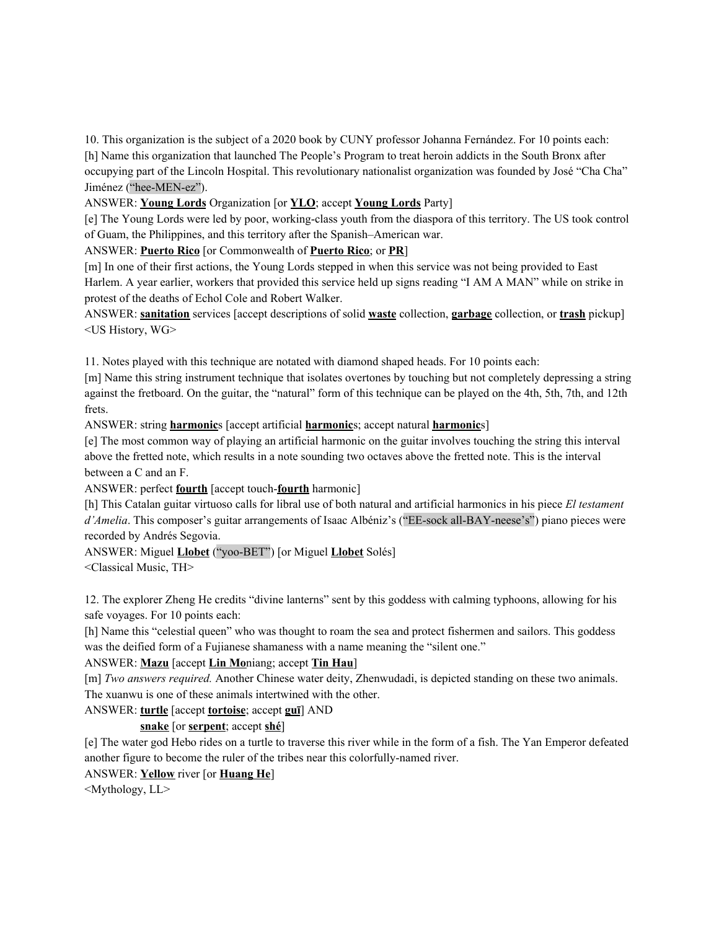10. This organization is the subject of a 2020 book by CUNY professor Johanna Fernández. For 10 points each: [h] Name this organization that launched The People's Program to treat heroin addicts in the South Bronx after occupying part of the Lincoln Hospital. This revolutionary nationalist organization was founded by José "Cha Cha" Jiménez ("hee-MEN-ez").

## ANSWER: **Young Lords** Organization [or **YLO**; accept **Young Lords** Party]

[e] The Young Lords were led by poor, working-class youth from the diaspora of this territory. The US took control of Guam, the Philippines, and this territory after the Spanish–American war.

ANSWER: **Puerto Rico** [or Commonwealth of **Puerto Rico**; or **PR**]

[m] In one of their first actions, the Young Lords stepped in when this service was not being provided to East Harlem. A year earlier, workers that provided this service held up signs reading "I AM A MAN" while on strike in protest of the deaths of Echol Cole and Robert Walker.

ANSWER: **sanitation** services [accept descriptions of solid **waste** collection, **garbage** collection, or **trash** pickup] <US History, WG>

11. Notes played with this technique are notated with diamond shaped heads. For 10 points each:

[m] Name this string instrument technique that isolates overtones by touching but not completely depressing a string against the fretboard. On the guitar, the "natural" form of this technique can be played on the 4th, 5th, 7th, and 12th frets.

ANSWER: string **harmonic**s [accept artificial **harmonic**s; accept natural **harmonic**s]

[e] The most common way of playing an artificial harmonic on the guitar involves touching the string this interval above the fretted note, which results in a note sounding two octaves above the fretted note. This is the interval between a C and an F.

ANSWER: perfect **fourth** [accept touch-**fourth** harmonic]

[h] This Catalan guitar virtuoso calls for libral use of both natural and artificial harmonics in his piece *El testament d'Amelia*. This composer's guitar arrangements of Isaac Albéniz's ("EE-sock all-BAY-neese's") piano pieces were recorded by Andrés Segovia.

ANSWER: Miguel **Llobet** ("yoo-BET") [or Miguel **Llobet** Solés]

<Classical Music, TH>

12. The explorer Zheng He credits "divine lanterns" sent by this goddess with calming typhoons, allowing for his safe voyages. For 10 points each:

[h] Name this "celestial queen" who was thought to roam the sea and protect fishermen and sailors. This goddess was the deified form of a Fujianese shamaness with a name meaning the "silent one."

# ANSWER: **Mazu** [accept **Lin Mo**niang; accept **Tin Hau**]

[m] *Two answers required.* Another Chinese water deity, Zhenwudadi, is depicted standing on these two animals. The xuanwu is one of these animals intertwined with the other.

ANSWER: **turtle** [accept **tortoise**; accept **guī**] AND

# **snake** [or **serpent**; accept **shé**]

[e] The water god Hebo rides on a turtle to traverse this river while in the form of a fish. The Yan Emperor defeated another figure to become the ruler of the tribes near this colorfully-named river.

## ANSWER: **Yellow** river [or **Huang He**]

<Mythology, LL>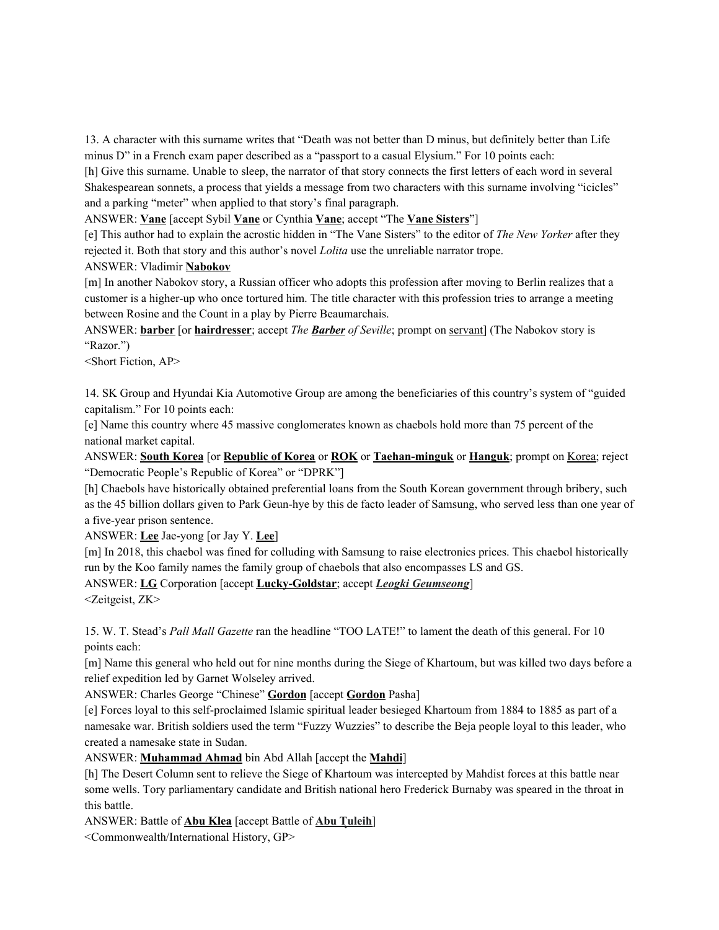13. A character with this surname writes that "Death was not better than D minus, but definitely better than Life minus D" in a French exam paper described as a "passport to a casual Elysium." For 10 points each:

[h] Give this surname. Unable to sleep, the narrator of that story connects the first letters of each word in several Shakespearean sonnets, a process that yields a message from two characters with this surname involving "icicles" and a parking "meter" when applied to that story's final paragraph.

ANSWER: **Vane** [accept Sybil **Vane** or Cynthia **Vane**; accept "The **Vane Sisters**"]

[e] This author had to explain the acrostic hidden in "The Vane Sisters" to the editor of *The New Yorker* after they rejected it. Both that story and this author's novel *Lolita* use the unreliable narrator trope.

## ANSWER: Vladimir **Nabokov**

[m] In another Nabokov story, a Russian officer who adopts this profession after moving to Berlin realizes that a customer is a higher-up who once tortured him. The title character with this profession tries to arrange a meeting between Rosine and the Count in a play by Pierre Beaumarchais.

ANSWER: **barber** [or **hairdresser**; accept *The Barber of Seville*; prompt on servant] (The Nabokov story is "Razor.")

<Short Fiction, AP>

14. SK Group and Hyundai Kia Automotive Group are among the beneficiaries of this country's system of "guided capitalism." For 10 points each:

[e] Name this country where 45 massive conglomerates known as chaebols hold more than 75 percent of the national market capital.

ANSWER: **South Korea** [or **Republic of Korea** or **ROK** or **Taehan-minguk** or **Hanguk**; prompt on Korea; reject "Democratic People's Republic of Korea" or "DPRK"]

[h] Chaebols have historically obtained preferential loans from the South Korean government through bribery, such as the 45 billion dollars given to Park Geun-hye by this de facto leader of Samsung, who served less than one year of a five-year prison sentence.

ANSWER: **Lee** Jae-yong [or Jay Y. **Lee**]

[m] In 2018, this chaebol was fined for colluding with Samsung to raise electronics prices. This chaebol historically run by the Koo family names the family group of chaebols that also encompasses LS and GS.

ANSWER: **LG** Corporation [accept **Lucky-Goldstar**; accept *Leogki Geumseong*] <Zeitgeist, ZK>

15. W. T. Stead's *Pall Mall Gazette* ran the headline "TOO LATE!" to lament the death of this general. For 10 points each:

[m] Name this general who held out for nine months during the Siege of Khartoum, but was killed two days before a relief expedition led by Garnet Wolseley arrived.

ANSWER: Charles George "Chinese" **Gordon** [accept **Gordon** Pasha]

[e] Forces loyal to this self-proclaimed Islamic spiritual leader besieged Khartoum from 1884 to 1885 as part of a namesake war. British soldiers used the term "Fuzzy Wuzzies" to describe the Beja people loyal to this leader, who created a namesake state in Sudan.

ANSWER: **Muhammad Ahmad** bin Abd Allah [accept the **Mahdi**]

[h] The Desert Column sent to relieve the Siege of Khartoum was intercepted by Mahdist forces at this battle near some wells. Tory parliamentary candidate and British national hero Frederick Burnaby was speared in the throat in this battle.

ANSWER: Battle of **Abu Klea** [accept Battle of **Abu T**ͅ**uleiħ**]

<Commonwealth/International History, GP>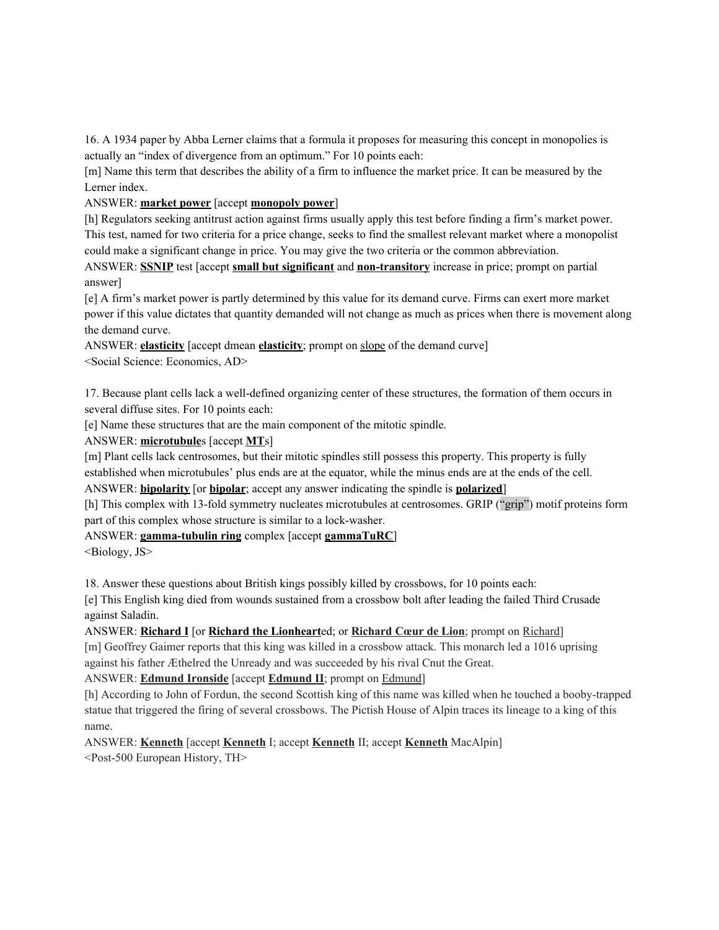16. A 1934 paper by Abba Lerner claims that a formula it proposes for measuring this concept in monopolies is actually an "index of divergence from an optimum." For 10 points each:

[m] Name this term that describes the ability of a firm to influence the market price. It can be measured by the Lerner index.

## ANSWER: **market power** [accept **monopoly power**]

[h] Regulators seeking antitrust action against firms usually apply this test before finding a firm's market power. This test, named for two criteria for a price change, seeks to find the smallest relevant market where a monopolist could make a significant change in price. You may give the two criteria or the common abbreviation.

ANSWER: **SSNIP** test [accept **small but significant** and **non-transitory** increase in price; prompt on partial answer]

[e] A firm's market power is partly determined by this value for its demand curve. Firms can exert more market power if this value dictates that quantity demanded will not change as much as prices when there is movement along the demand curve.

ANSWER: **elasticity** [accept dmean **elasticity**; prompt on slope of the demand curve] <Social Science: Economics, AD>

17. Because plant cells lack a well-defined organizing center of these structures, the formation of them occurs in several diffuse sites. For 10 points each:

[e] Name these structures that are the main component of the mitotic spindle.

ANSWER: **microtubule**s [accept **MT**s]

[m] Plant cells lack centrosomes, but their mitotic spindles still possess this property. This property is fully established when microtubules' plus ends are at the equator, while the minus ends are at the ends of the cell.

ANSWER: **bipolarity** [or **bipolar**; accept any answer indicating the spindle is **polarized**]

[h] This complex with 13-fold symmetry nucleates microtubules at centrosomes. GRIP ("grip") motif proteins form part of this complex whose structure is similar to a lock-washer.

ANSWER: **gamma-tubulin ring** complex [accept **gammaTuRC**]

<Biology, JS>

18. Answer these questions about British kings possibly killed by crossbows, for 10 points each:

[e] This English king died from wounds sustained from a crossbow bolt after leading the failed Third Crusade against Saladin.

ANSWER: **Richard I** [or **Richard the Lionheart**ed; or **Richard Cœur de Lion**; prompt on Richard]

[m] Geoffrey Gaimer reports that this king was killed in a crossbow attack. This monarch led a 1016 uprising against his father Æthelred the Unready and was succeeded by his rival Cnut the Great.

ANSWER: **Edmund Ironside** [accept **Edmund II**; prompt on Edmund]

[h] According to John of Fordun, the second Scottish king of this name was killed when he touched a booby-trapped statue that triggered the firing of several crossbows. The Pictish House of Alpin traces its lineage to a king of this name.

ANSWER: **Kenneth** [accept **Kenneth** I; accept **Kenneth** II; accept **Kenneth** MacAlpin] <Post-500 European History, TH>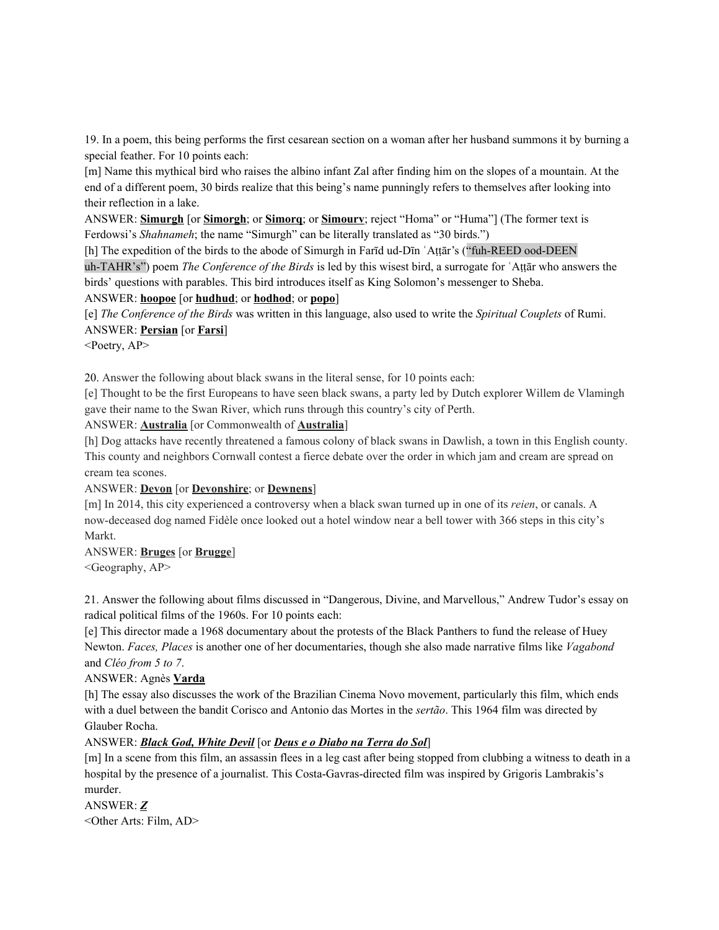19. In a poem, this being performs the first cesarean section on a woman after her husband summons it by burning a special feather. For 10 points each:

[m] Name this mythical bird who raises the albino infant Zal after finding him on the slopes of a mountain. At the end of a different poem, 30 birds realize that this being's name punningly refers to themselves after looking into their reflection in a lake.

ANSWER: **Simurgh** [or **Simorgh**; or **Simorq**; or **Simourv**; reject "Homa" or "Huma"] (The former text is Ferdowsi's *Shahnameh*; the name "Simurgh" can be literally translated as "30 birds.")

[h] The expedition of the birds to the abode of Simurgh in Farīd ud-Dīn 'Attār's ("fuh-REED ood-DEEN

uh-TAHR's") poem *The Conference of the Birds* is led by this wisest bird, a surrogate for ʿAṭṭār who answers the birds' questions with parables. This bird introduces itself as King Solomon's messenger to Sheba.

ANSWER: **hoopoe** [or **hudhud**; or **hodhod**; or **popo**]

[e] *The Conference of the Birds* was written in this language, also used to write the *Spiritual Couplets* of Rumi. ANSWER: **Persian** [or **Farsi**]

<Poetry, AP>

20. Answer the following about black swans in the literal sense, for 10 points each:

[e] Thought to be the first Europeans to have seen black swans, a party led by Dutch explorer Willem de Vlamingh gave their name to the Swan River, which runs through this country's city of Perth.

ANSWER: **Australia** [or Commonwealth of **Australia**]

[h] Dog attacks have recently threatened a famous colony of black swans in Dawlish, a town in this English county. This county and neighbors Cornwall contest a fierce debate over the order in which jam and cream are spread on cream tea scones.

## ANSWER: **Devon** [or **Devonshire**; or **Dewnens**]

[m] In 2014, this city experienced a controversy when a black swan turned up in one of its *reien*, or canals. A now-deceased dog named Fidèle once looked out a hotel window near a bell tower with 366 steps in this city's Markt.

ANSWER: **Bruges** [or **Brugge**]

<Geography, AP>

21. Answer the following about films discussed in "Dangerous, Divine, and Marvellous," Andrew Tudor's essay on radical political films of the 1960s. For 10 points each:

[e] This director made a 1968 documentary about the protests of the Black Panthers to fund the release of Huey Newton. *Faces, Places* is another one of her documentaries, though she also made narrative films like *Vagabond* and *Cléo from 5 to 7*.

# ANSWER: Agnès **Varda**

[h] The essay also discusses the work of the Brazilian Cinema Novo movement, particularly this film, which ends with a duel between the bandit Corisco and Antonio das Mortes in the *sertão*. This 1964 film was directed by Glauber Rocha.

#### ANSWER: *Black God, White Devil* [or *Deus e o Diabo na Terra do Sol*]

[m] In a scene from this film, an assassin flees in a leg cast after being stopped from clubbing a witness to death in a hospital by the presence of a journalist. This Costa-Gavras-directed film was inspired by Grigoris Lambrakis's murder.

ANSWER: *Z* <Other Arts: Film, AD>